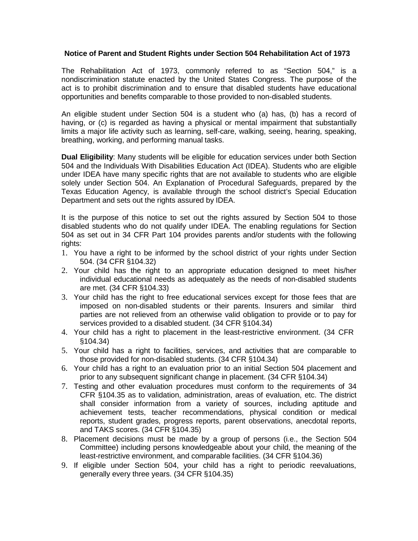## **Notice of Parent and Student Rights under Section 504 Rehabilitation Act of 1973**

The Rehabilitation Act of 1973, commonly referred to as "Section 504," is a nondiscrimination statute enacted by the United States Congress. The purpose of the act is to prohibit discrimination and to ensure that disabled students have educational opportunities and benefits comparable to those provided to non-disabled students.

An eligible student under Section 504 is a student who (a) has, (b) has a record of having, or (c) is regarded as having a physical or mental impairment that substantially limits a major life activity such as learning, self-care, walking, seeing, hearing, speaking, breathing, working, and performing manual tasks.

**Dual Eligibility**: Many students will be eligible for education services under both Section 504 and the Individuals With Disabilities Education Act (IDEA). Students who are eligible under IDEA have many specific rights that are not available to students who are eligible solely under Section 504. An Explanation of Procedural Safeguards, prepared by the Texas Education Agency, is available through the school district's Special Education Department and sets out the rights assured by IDEA.

It is the purpose of this notice to set out the rights assured by Section 504 to those disabled students who do not qualify under IDEA. The enabling regulations for Section 504 as set out in 34 CFR Part 104 provides parents and/or students with the following rights:

- 1. You have a right to be informed by the school district of your rights under Section 504. (34 CFR §104.32)
- 2. Your child has the right to an appropriate education designed to meet his/her individual educational needs as adequately as the needs of non-disabled students are met. (34 CFR §104.33)
- 3. Your child has the right to free educational services except for those fees that are imposed on non-disabled students or their parents. Insurers and similar third parties are not relieved from an otherwise valid obligation to provide or to pay for services provided to a disabled student. (34 CFR §104.34)
- 4. Your child has a right to placement in the least-restrictive environment. (34 CFR §104.34)
- 5. Your child has a right to facilities, services, and activities that are comparable to those provided for non-disabled students. (34 CFR §104.34)
- 6. Your child has a right to an evaluation prior to an initial Section 504 placement and prior to any subsequent significant change in placement. (34 CFR §104.34)
- 7. Testing and other evaluation procedures must conform to the requirements of 34 CFR §104.35 as to validation, administration, areas of evaluation, etc. The district shall consider information from a variety of sources, including aptitude and achievement tests, teacher recommendations, physical condition or medical reports, student grades, progress reports, parent observations, anecdotal reports, and TAKS scores. (34 CFR §104.35)
- 8. Placement decisions must be made by a group of persons (i.e., the Section 504 Committee) including persons knowledgeable about your child, the meaning of the least-restrictive environment, and comparable facilities. (34 CFR §104.36)
- 9. If eligible under Section 504, your child has a right to periodic reevaluations, generally every three years. (34 CFR §104.35)